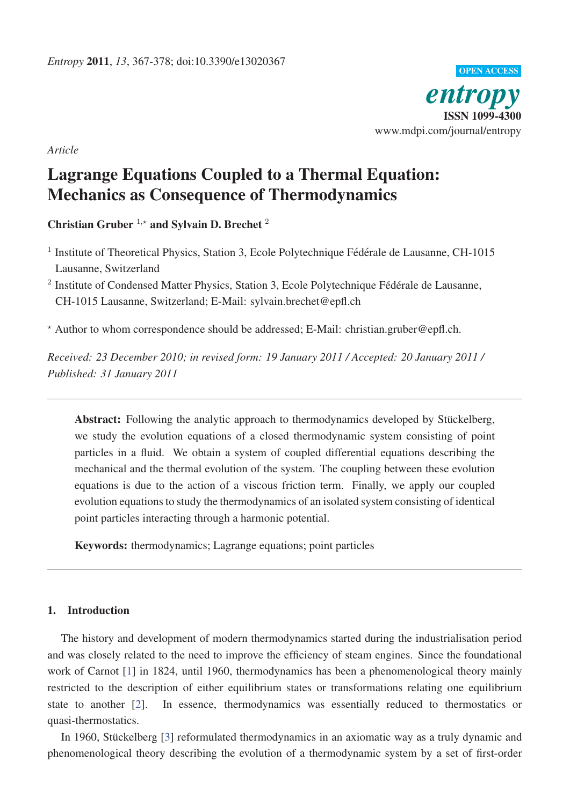

*Article*

# Lagrange Equations Coupled to a Thermal Equation: Mechanics as Consequence of Thermodynamics

Christian Gruber  $1, \star$  and Sylvain D. Brechet  $^2$ 

<sup>1</sup> Institute of Theoretical Physics, Station 3, Ecole Polytechnique Fédérale de Lausanne, CH-1015 Lausanne, Switzerland

 $2$  Institute of Condensed Matter Physics, Station 3, Ecole Polytechnique Fédérale de Lausanne, CH-1015 Lausanne, Switzerland; E-Mail: sylvain.brechet@epfl.ch

\* Author to whom correspondence should be addressed; E-Mail: christian.gruber@epfl.ch.

*Received: 23 December 2010; in revised form: 19 January 2011 / Accepted: 20 January 2011 / Published: 31 January 2011*

Abstract: Following the analytic approach to thermodynamics developed by Stückelberg, we study the evolution equations of a closed thermodynamic system consisting of point particles in a fluid. We obtain a system of coupled differential equations describing the mechanical and the thermal evolution of the system. The coupling between these evolution equations is due to the action of a viscous friction term. Finally, we apply our coupled evolution equations to study the thermodynamics of an isolated system consisting of identical point particles interacting through a harmonic potential.

Keywords: thermodynamics; Lagrange equations; point particles

# 1. Introduction

The history and development of modern thermodynamics started during the industrialisation period and was closely related to the need to improve the efficiency of steam engines. Since the foundational work of Carnot [1] in 1824, until 1960, thermodynamics has been a phenomenological theory mainly restricted to the description of either equilibrium states or transformations relating one equilibrium state to another [2]. In essence, thermodynamics was essentially reduced to thermostatics or quasi-thermostatics.

In 1960, Stückelberg [3] reformulated thermodynamics in an axiomatic way as a truly dynamic and phenomenological theory describing the evolution of a thermodynamic system by a set of first-order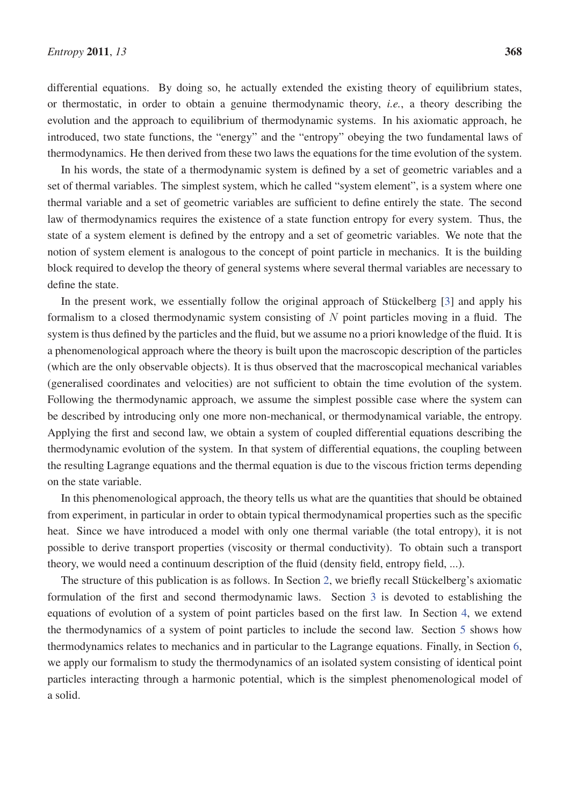differential equations. By doing so, he actually extended the existing theory of equilibrium states, or thermostatic, in order to obtain a genuine thermodynamic theory, *i.e.*, a theory describing the evolution and the approach to equilibrium of thermodynamic systems. In his axiomatic approach, he introduced, two state functions, the "energy" and the "entropy" obeying the two fundamental laws of thermodynamics. He then derived from these two laws the equations for the time evolution of the system.

In his words, the state of a thermodynamic system is defined by a set of geometric variables and a set of thermal variables. The simplest system, which he called "system element", is a system where one thermal variable and a set of geometric variables are sufficient to define entirely the state. The second law of thermodynamics requires the existence of a state function entropy for every system. Thus, the state of a system element is defined by the entropy and a set of geometric variables. We note that the notion of system element is analogous to the concept of point particle in mechanics. It is the building block required to develop the theory of general systems where several thermal variables are necessary to define the state.

In the present work, we essentially follow the original approach of Stückelberg [3] and apply his formalism to a closed thermodynamic system consisting of  $N$  point particles moving in a fluid. The system is thus defined by the particles and the fluid, but we assume no a priori knowledge of the fluid. It is a phenomenological approach where the theory is built upon the macroscopic description of the particles (which are the only observable objects). It is thus observed that the macroscopical mechanical variables (generalised coordinates and velocities) are not sufficient to obtain the time evolution of the system. Following the thermodynamic approach, we assume the simplest possible case where the system can be described by introducing only one more non-mechanical, or thermodynamical variable, the entropy. Applying the first and second law, we obtain a system of coupled differential equations describing the thermodynamic evolution of the system. In that system of differential equations, the coupling between the resulting Lagrange equations and the thermal equation is due to the viscous friction terms depending on the state variable.

In this phenomenological approach, the theory tells us what are the quantities that should be obtained from experiment, in particular in order to obtain typical thermodynamical properties such as the specific heat. Since we have introduced a model with only one thermal variable (the total entropy), it is not possible to derive transport properties (viscosity or thermal conductivity). To obtain such a transport theory, we would need a continuum description of the fluid (density field, entropy field, ...).

The structure of this publication is as follows. In Section 2, we briefly recall Stückelberg's axiomatic formulation of the first and second thermodynamic laws. Section 3 is devoted to establishing the equations of evolution of a system of point particles based on the first law. In Section 4, we extend the thermodynamics of a system of point particles to include the second law. Section 5 shows how thermodynamics relates to mechanics and in particular to the Lagrange equations. Finally, in Section 6, we apply our formalism to study the thermodynamics of an isolated system consisting of identical point particles interacting through a harmonic potential, which is the simplest phenomenological model of a solid.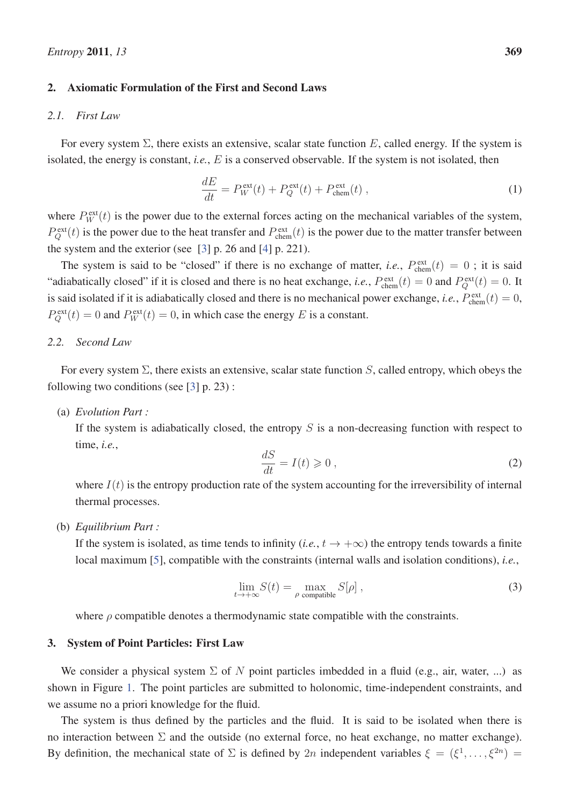#### 2. Axiomatic Formulation of the First and Second Laws

#### *2.1. First Law*

For every system  $\Sigma$ , there exists an extensive, scalar state function E, called energy. If the system is isolated, the energy is constant, *i.e.*,  $E$  is a conserved observable. If the system is not isolated, then

$$
\frac{dE}{dt} = P_W^{\text{ext}}(t) + P_Q^{\text{ext}}(t) + P_{\text{chem}}^{\text{ext}}(t) ,\qquad (1)
$$

where  $P_W^{\text{ext}}(t)$  is the power due to the external forces acting on the mechanical variables of the system,  $P_Q^{\text{ext}}(t)$  is the power due to the heat transfer and  $P_{\text{chem}}^{\text{ext}}(t)$  is the power due to the matter transfer between the system and the exterior (see [3] p. 26 and [4] p. 221).

The system is said to be "closed" if there is no exchange of matter, *i.e.*,  $P_{\text{chem}}^{\text{ext}}(t)=0$ ; it is said "adiabatically closed" if it is closed and there is no heat exchange, *i.e.*,  $P_{\text{chem}}^{\text{ext}}(t)=0$  and  $P_{Q}^{\text{ext}}(t)=0$ . It is said isolated if it is adiabatically closed and there is no mechanical power exchange, *i.e.*,  $P_{\text{chem}}^{\text{ext}}(t)=0$ ,  $P_{\mathcal{O}}^{\text{ext}}(t) = 0$  and  $P_{W}^{\text{ext}}(t) = 0$ , in which case the energy E is a constant.

#### *2.2. Second Law*

For every system  $\Sigma$ , there exists an extensive, scalar state function S, called entropy, which obeys the following two conditions (see [3] p. 23) :

(a) *Evolution Part :*

If the system is adiabatically closed, the entropy  $S$  is a non-decreasing function with respect to time, *i.e.*,  $dS$ 

$$
\frac{dS}{dt} = I(t) \geqslant 0\,,\tag{2}
$$

where  $I(t)$  is the entropy production rate of the system accounting for the irreversibility of internal thermal processes.

#### (b) *Equilibrium Part :*

If the system is isolated, as time tends to infinity (*i.e.*,  $t \to +\infty$ ) the entropy tends towards a finite local maximum [5], compatible with the constraints (internal walls and isolation conditions), *i.e.*,

$$
\lim_{t \to +\infty} S(t) = \max_{\rho \text{ compatible}} S[\rho],
$$
\n(3)

where  $\rho$  compatible denotes a thermodynamic state compatible with the constraints.

# 3. System of Point Particles: First Law

We consider a physical system  $\Sigma$  of N point particles imbedded in a fluid (e.g., air, water, ...) as shown in Figure 1. The point particles are submitted to holonomic, time-independent constraints, and we assume no a priori knowledge for the fluid.

The system is thus defined by the particles and the fluid. It is said to be isolated when there is no interaction between  $\Sigma$  and the outside (no external force, no heat exchange, no matter exchange). By definition, the mechanical state of  $\Sigma$  is defined by 2n independent variables  $\xi = (\xi^1, \dots, \xi^{2n}) =$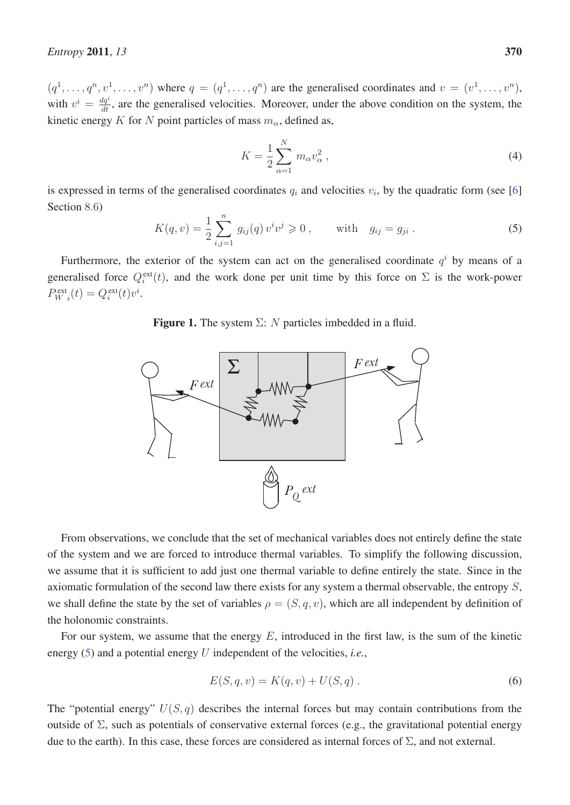$(q^1,\ldots,q^n,v^1,\ldots,v^n)$  where  $q=(q^1,\ldots,q^n)$  are the generalised coordinates and  $v=(v^1,\ldots,v^n)$ , with  $v^i = \frac{dq^i}{dt}$ , are the generalised velocities. Moreover, under the above condition on the system, the kinetic energy K for N point particles of mass  $m_{\alpha}$ , defined as,

$$
K = \frac{1}{2} \sum_{\alpha=1}^{N} m_{\alpha} v_{\alpha}^{2} , \qquad (4)
$$

is expressed in terms of the generalised coordinates  $q_i$  and velocities  $v_i$ , by the quadratic form (see [6] Section 8.6)

$$
K(q, v) = \frac{1}{2} \sum_{i,j=1}^{n} g_{ij}(q) v^{i} v^{j} \geq 0, \quad \text{with} \quad g_{ij} = g_{ji}. \tag{5}
$$

Furthermore, the exterior of the system can act on the generalised coordinate  $q^i$  by means of a generalised force  $Q_i^{\text{ext}}(t)$ , and the work done per unit time by this force on  $\Sigma$  is the work-power  $P_{W i}^{\text{ext}}(t) = Q_i^{\text{ext}}(t)v^i.$ 

**Figure 1.** The system  $\Sigma$ : N particles imbedded in a fluid.



From observations, we conclude that the set of mechanical variables does not entirely define the state of the system and we are forced to introduce thermal variables. To simplify the following discussion, we assume that it is sufficient to add just one thermal variable to define entirely the state. Since in the axiomatic formulation of the second law there exists for any system a thermal observable, the entropy  $S$ , we shall define the state by the set of variables  $\rho = (S, q, v)$ , which are all independent by definition of the holonomic constraints.

For our system, we assume that the energy  $E$ , introduced in the first law, is the sum of the kinetic energy (5) and a potential energy U independent of the velocities, *i.e.*,

$$
E(S, q, v) = K(q, v) + U(S, q).
$$
\n(6)

The "potential energy"  $U(S, q)$  describes the internal forces but may contain contributions from the outside of Σ, such as potentials of conservative external forces (e.g., the gravitational potential energy due to the earth). In this case, these forces are considered as internal forces of  $\Sigma$ , and not external.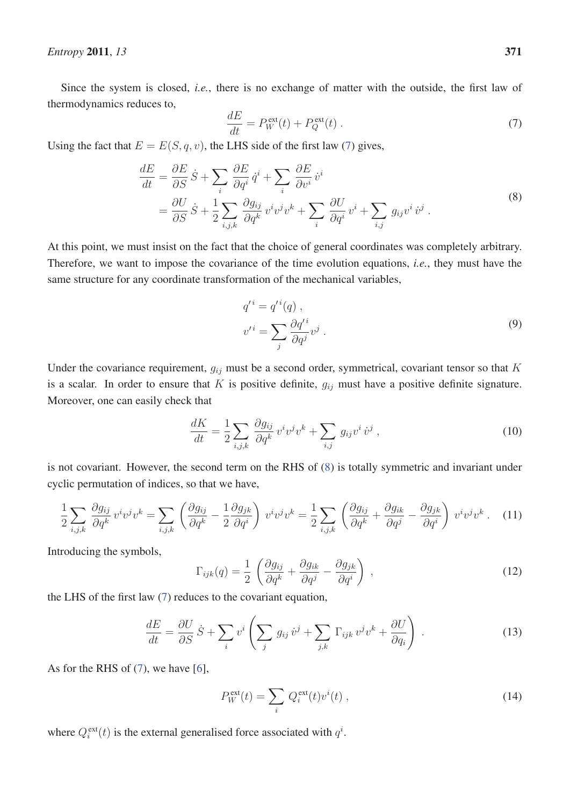Since the system is closed, *i.e.*, there is no exchange of matter with the outside, the first law of thermodynamics reduces to,

$$
\frac{dE}{dt} = P_W^{\text{ext}}(t) + P_Q^{\text{ext}}(t) \,. \tag{7}
$$

Using the fact that  $E = E(S, q, v)$ , the LHS side of the first law (7) gives,

$$
\frac{dE}{dt} = \frac{\partial E}{\partial S} \dot{S} + \sum_{i} \frac{\partial E}{\partial q^{i}} \dot{q}^{i} + \sum_{i} \frac{\partial E}{\partial v^{i}} \dot{v}^{i} \n= \frac{\partial U}{\partial S} \dot{S} + \frac{1}{2} \sum_{i,j,k} \frac{\partial g_{ij}}{\partial q^{k}} v^{i} v^{j} v^{k} + \sum_{i} \frac{\partial U}{\partial q^{i}} v^{i} + \sum_{i,j} g_{ij} v^{i} \dot{v}^{j}.
$$
\n(8)

At this point, we must insist on the fact that the choice of general coordinates was completely arbitrary. Therefore, we want to impose the covariance of the time evolution equations, *i.e.*, they must have the same structure for any coordinate transformation of the mechanical variables,

$$
q'^{i} = q'^{i}(q) ,
$$
  
\n
$$
v'^{i} = \sum_{j} \frac{\partial q'^{i}}{\partial q^{j}} v^{j} .
$$
\n(9)

Under the covariance requirement,  $g_{ij}$  must be a second order, symmetrical, covariant tensor so that K is a scalar. In order to ensure that K is positive definite,  $g_{ij}$  must have a positive definite signature. Moreover, one can easily check that

$$
\frac{dK}{dt} = \frac{1}{2} \sum_{i,j,k} \frac{\partial g_{ij}}{\partial q^k} v^i v^j v^k + \sum_{i,j} g_{ij} v^i \dot{v}^j , \qquad (10)
$$

is not covariant. However, the second term on the RHS of (8) is totally symmetric and invariant under cyclic permutation of indices, so that we have,

$$
\frac{1}{2} \sum_{i,j,k} \frac{\partial g_{ij}}{\partial q^k} v^i v^j v^k = \sum_{i,j,k} \left( \frac{\partial g_{ij}}{\partial q^k} - \frac{1}{2} \frac{\partial g_{jk}}{\partial q^i} \right) v^i v^j v^k = \frac{1}{2} \sum_{i,j,k} \left( \frac{\partial g_{ij}}{\partial q^k} + \frac{\partial g_{ik}}{\partial q^j} - \frac{\partial g_{jk}}{\partial q^i} \right) v^i v^j v^k. \tag{11}
$$

Introducing the symbols,

$$
\Gamma_{ijk}(q) = \frac{1}{2} \left( \frac{\partial g_{ij}}{\partial q^k} + \frac{\partial g_{ik}}{\partial q^j} - \frac{\partial g_{jk}}{\partial q^i} \right) , \qquad (12)
$$

the LHS of the first law (7) reduces to the covariant equation,

$$
\frac{dE}{dt} = \frac{\partial U}{\partial S} \dot{S} + \sum_{i} v^{i} \left( \sum_{j} g_{ij} \dot{v}^{j} + \sum_{j,k} \Gamma_{ijk} v^{j} v^{k} + \frac{\partial U}{\partial q_{i}} \right) . \tag{13}
$$

As for the RHS of  $(7)$ , we have  $[6]$ ,

$$
P_W^{\text{ext}}(t) = \sum_i Q_i^{\text{ext}}(t) v^i(t) , \qquad (14)
$$

where  $Q_i^{\text{ext}}(t)$  is the external generalised force associated with  $q^i$ .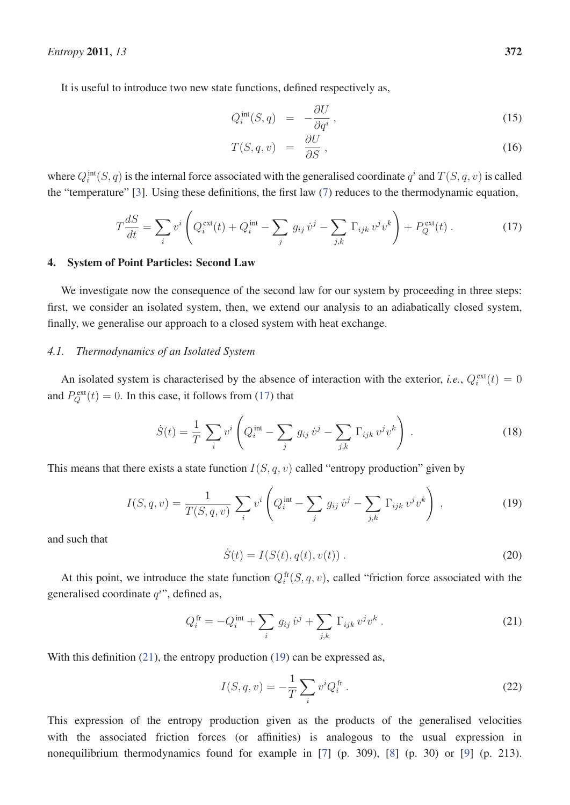It is useful to introduce two new state functions, defined respectively as,

$$
Q_i^{\text{int}}(S, q) = -\frac{\partial U}{\partial q^i}, \qquad (15)
$$

$$
T(S, q, v) = \frac{\partial U}{\partial S}, \qquad (16)
$$

where  $Q_i^{\text{int}}(S, q)$  is the internal force associated with the generalised coordinate  $q^i$  and  $T(S, q, v)$  is called the "temperature" [3]. Using these definitions, the first law (7) reduces to the thermodynamic equation,

$$
T\frac{dS}{dt} = \sum_{i} v^{i} \left( Q_{i}^{\text{ext}}(t) + Q_{i}^{\text{int}} - \sum_{j} g_{ij} \dot{v}^{j} - \sum_{j,k} \Gamma_{ijk} v^{j} v^{k} \right) + P_{Q}^{\text{ext}}(t) . \qquad (17)
$$

#### 4. System of Point Particles: Second Law

We investigate now the consequence of the second law for our system by proceeding in three steps: first, we consider an isolated system, then, we extend our analysis to an adiabatically closed system, finally, we generalise our approach to a closed system with heat exchange.

### *4.1. Thermodynamics of an Isolated System*

An isolated system is characterised by the absence of interaction with the exterior, *i.e.*,  $Q_i^{\text{ext}}(t)=0$ and  $P_Q^{\text{ext}}(t) = 0$ . In this case, it follows from (17) that

$$
\dot{S}(t) = \frac{1}{T} \sum_{i} v^{i} \left( Q_{i}^{\text{int}} - \sum_{j} g_{ij} \dot{v}^{j} - \sum_{j,k} \Gamma_{ijk} v^{j} v^{k} \right) . \tag{18}
$$

This means that there exists a state function  $I(S, q, v)$  called "entropy production" given by

$$
I(S, q, v) = \frac{1}{T(S, q, v)} \sum_{i} v^{i} \left( Q_{i}^{\text{int}} - \sum_{j} g_{ij} v^{j} - \sum_{j,k} \Gamma_{ijk} v^{j} v^{k} \right) ,
$$
 (19)

and such that

$$
\dot{S}(t) = I(S(t), q(t), v(t)) .
$$
\n(20)

At this point, we introduce the state function  $Q_i^{\text{fr}}(S, q, v)$ , called "friction force associated with the generalised coordinate  $q^{i}$ ", defined as,

$$
Q_i^{\text{fr}} = -Q_i^{\text{int}} + \sum_i g_{ij} \,\dot{v}^j + \sum_{j,k} \Gamma_{ijk} \, v^j v^k \,. \tag{21}
$$

With this definition (21), the entropy production (19) can be expressed as,

$$
I(S, q, v) = -\frac{1}{T} \sum_{i} v^{i} Q_{i}^{\text{fr}}.
$$
 (22)

This expression of the entropy production given as the products of the generalised velocities with the associated friction forces (or affinities) is analogous to the usual expression in nonequilibrium thermodynamics found for example in [7] (p. 309), [8] (p. 30) or [9] (p. 213).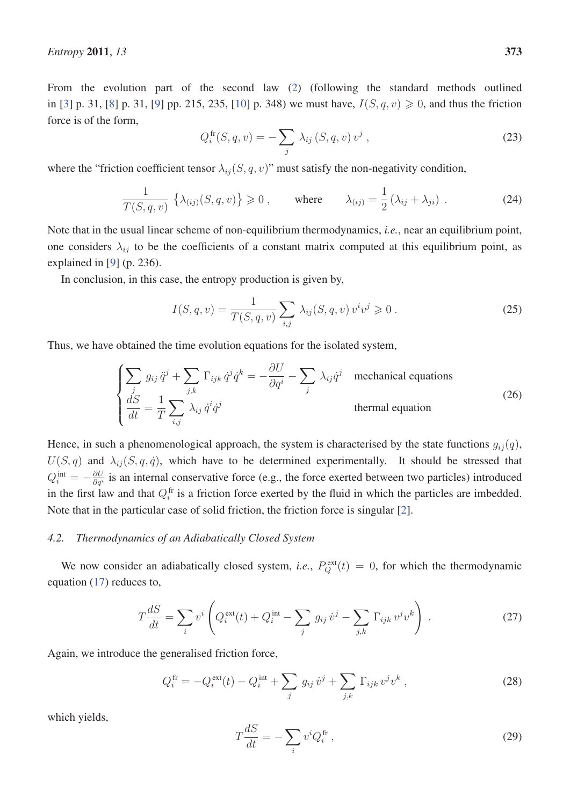From the evolution part of the second law (2) (following the standard methods outlined in [3] p. 31, [8] p. 31, [9] pp. 215, 235, [10] p. 348) we must have,  $I(S, q, v) \ge 0$ , and thus the friction force is of the form,

$$
Q_i^{\text{fr}}(S, q, v) = -\sum_j \lambda_{ij} (S, q, v) v^j , \qquad (23)
$$

where the "friction coefficient tensor  $\lambda_{ij}(S, q, v)$ " must satisfy the non-negativity condition,

$$
\frac{1}{T(S,q,v)}\left\{\lambda_{(ij)}(S,q,v)\right\} \geq 0\,,\qquad\text{where}\qquad\lambda_{(ij)} = \frac{1}{2}\left(\lambda_{ij} + \lambda_{ji}\right)\,.
$$
 (24)

Note that in the usual linear scheme of non-equilibrium thermodynamics, *i.e.*, near an equilibrium point, one considers  $\lambda_{ij}$  to be the coefficients of a constant matrix computed at this equilibrium point, as explained in [9] (p. 236).

In conclusion, in this case, the entropy production is given by,

$$
I(S, q, v) = \frac{1}{T(S, q, v)} \sum_{i,j} \lambda_{ij}(S, q, v) v^i v^j \ge 0.
$$
 (25)

Thus, we have obtained the time evolution equations for the isolated system,

$$
\begin{cases}\n\sum_{j} g_{ij} \ddot{q}^{j} + \sum_{j,k} \Gamma_{ijk} \dot{q}^{j} \dot{q}^{k} = -\frac{\partial U}{\partial q^{i}} - \sum_{j} \lambda_{ij} \dot{q}^{j} \quad \text{mechanical equations} \\
\frac{dS}{dt} = \frac{1}{T} \sum_{i,j} \lambda_{ij} \dot{q}^{i} \dot{q}^{j}\n\end{cases}
$$
\n(26)

Hence, in such a phenomenological approach, the system is characterised by the state functions  $q_{ij}(q)$ ,  $U(S,q)$  and  $\lambda_{ij}(S,q,\dot{q})$ , which have to be determined experimentally. It should be stressed that  $Q_i^{\text{int}} = -\frac{\partial U}{\partial q^i}$  is an internal conservative force (e.g., the force exerted between two particles) introduced in the first law and that  $Q_i^{\text{fr}}$  is a friction force exerted by the fluid in which the particles are imbedded. Note that in the particular case of solid friction, the friction force is singular [2].

#### *4.2. Thermodynamics of an Adiabatically Closed System*

We now consider an adiabatically closed system, *i.e.*,  $P_Q^{\text{ext}}(t)=0$ , for which the thermodynamic equation (17) reduces to,

$$
T\frac{dS}{dt} = \sum_{i} v^{i} \left( Q_{i}^{\text{ext}}(t) + Q_{i}^{\text{int}} - \sum_{j} g_{ij} \dot{v}^{j} - \sum_{j,k} \Gamma_{ijk} v^{j} v^{k} \right) . \tag{27}
$$

Again, we introduce the generalised friction force,

$$
Q_i^{\text{fr}} = -Q_i^{\text{ext}}(t) - Q_i^{\text{int}} + \sum_j g_{ij} \,\dot{v}^j + \sum_{j,k} \Gamma_{ijk} \, v^j v^k , \qquad (28)
$$

which yields,

$$
T\frac{dS}{dt} = -\sum_{i} v^{i} Q_{i}^{\text{fr}}, \qquad (29)
$$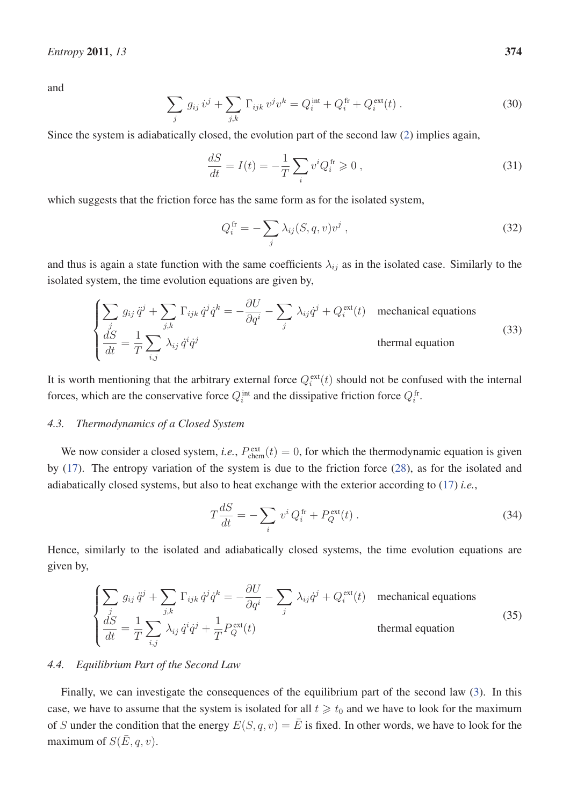and

$$
\sum_{j} g_{ij} \,\dot{v}^{j} + \sum_{j,k} \Gamma_{ijk} \, v^{j} v^{k} = Q_{i}^{\text{int}} + Q_{i}^{\text{fr}} + Q_{i}^{\text{ext}}(t) \,. \tag{30}
$$

Since the system is adiabatically closed, the evolution part of the second law (2) implies again,

$$
\frac{dS}{dt} = I(t) = -\frac{1}{T} \sum_{i} v^{i} Q_{i}^{\text{fr}} \ge 0 , \qquad (31)
$$

which suggests that the friction force has the same form as for the isolated system,

$$
Q_i^{\text{fr}} = -\sum_j \lambda_{ij} (S, q, v) v^j , \qquad (32)
$$

and thus is again a state function with the same coefficients  $\lambda_{ij}$  as in the isolated case. Similarly to the isolated system, the time evolution equations are given by,

$$
\begin{cases}\n\sum_{j} g_{ij} \ddot{q}^{j} + \sum_{j,k} \Gamma_{ijk} \dot{q}^{j} \dot{q}^{k} = -\frac{\partial U}{\partial q^{i}} - \sum_{j} \lambda_{ij} \dot{q}^{j} + Q_{i}^{\text{ext}}(t) & \text{mechanical equations} \\
\frac{dS}{dt} = \frac{1}{T} \sum_{i,j} \lambda_{ij} \dot{q}^{i} \dot{q}^{j}\n\end{cases}
$$
\n(33)

It is worth mentioning that the arbitrary external force  $Q_i^{\text{ext}}(t)$  should not be confused with the internal forces, which are the conservative force  $Q_i^{\text{int}}$  and the dissipative friction force  $Q_i^{\text{fr}}$ .

#### *4.3. Thermodynamics of a Closed System*

We now consider a closed system, *i.e.*,  $P_{\text{chem}}^{\text{ext}}(t)=0$ , for which the thermodynamic equation is given by (17). The entropy variation of the system is due to the friction force (28), as for the isolated and adiabatically closed systems, but also to heat exchange with the exterior according to (17) *i.e.*,

$$
T\frac{dS}{dt} = -\sum_{i} v^{i} Q_{i}^{\text{fr}} + P_{Q}^{\text{ext}}(t) . \qquad (34)
$$

Hence, similarly to the isolated and adiabatically closed systems, the time evolution equations are given by,

$$
\begin{cases}\n\sum_{j} g_{ij} \ddot{q}^{j} + \sum_{j,k} \Gamma_{ijk} \dot{q}^{j} \dot{q}^{k} = -\frac{\partial U}{\partial q^{i}} - \sum_{j} \lambda_{ij} \dot{q}^{j} + Q_{i}^{\text{ext}}(t) & \text{mechanical equations} \\
\frac{dS}{dt} = \frac{1}{T} \sum_{i,j} \lambda_{ij} \dot{q}^{i} \dot{q}^{j} + \frac{1}{T} P_{Q}^{\text{ext}}(t) & \text{thermal equation}\n\end{cases}
$$
\n(35)

#### *4.4. Equilibrium Part of the Second Law*

Finally, we can investigate the consequences of the equilibrium part of the second law (3). In this case, we have to assume that the system is isolated for all  $t \geq t_0$  and we have to look for the maximum of S under the condition that the energy  $E(S, q, v) = \overline{E}$  is fixed. In other words, we have to look for the maximum of  $S(E, q, v)$ .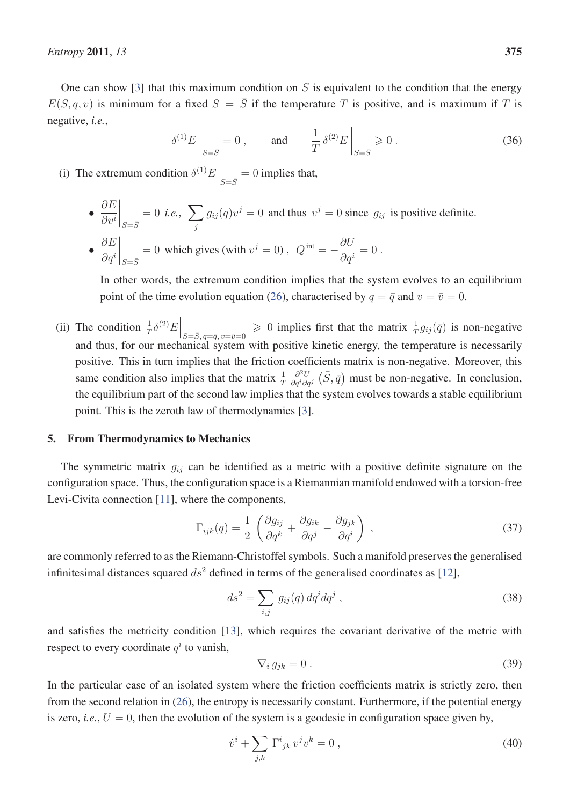One can show [3] that this maximum condition on S is equivalent to the condition that the energy  $E(S, q, v)$  is minimum for a fixed  $S = \overline{S}$  if the temperature T is positive, and is maximum if T is negative, *i.e.*,

$$
\delta^{(1)}E\Big|_{S=\bar{S}} = 0 , \quad \text{and} \quad \frac{1}{T}\delta^{(2)}E\Big|_{S=\bar{S}} \geq 0 . \tag{36}
$$

(i) The extremum condition  $\delta^{(1)}E\Big|_{S=\bar{S}}=0$  implies that,

- ∂E  $\overline{\partial v^i}$  $\Bigg|_{S=\bar{S}}$  $= 0$  *i.e.*,  $\sum$ j  $g_{ij}(q)v^j = 0$  and thus  $v^j = 0$  since  $g_{ij}$  is positive definite.
- ∂E  $\overline{\partial q^i}$  $\left| \int_{S=\bar{S}}=0 \text{ which gives (with } v^j=0) , \ Q^{\text{int}}=-\frac{\partial U}{\partial q^i}=0.$

In other words, the extremum condition implies that the system evolves to an equilibrium point of the time evolution equation (26), characterised by  $q = \bar{q}$  and  $v = \bar{v} = 0$ .

(ii) The condition  $\frac{1}{T}\delta^{(2)}E\Big|_{S=\bar{S}, q=\bar{q}, v=\bar{v}=0} \geq 0$  implies first that the matrix  $\frac{1}{T}g_{ij}(\bar{q})$  is non-negative and thus, for our mechanical system with positive kinetic energy, the temperature is necessarily positive. This in turn implies that the friction coefficients matrix is non-negative. Moreover, this same condition also implies that the matrix  $\frac{1}{7}$  $\partial^2U$  $\frac{\partial^2 U}{\partial q^i \partial q^j} (\bar{S}, \bar{q})$  must be non-negative. In conclusion, the equilibrium part of the second law implies that the system evolves towards a stable equilibrium point. This is the zeroth law of thermodynamics [3].

# 5. From Thermodynamics to Mechanics

The symmetric matrix  $g_{ij}$  can be identified as a metric with a positive definite signature on the configuration space. Thus, the configuration space is a Riemannian manifold endowed with a torsion-free Levi-Civita connection [11], where the components,

$$
\Gamma_{ijk}(q) = \frac{1}{2} \left( \frac{\partial g_{ij}}{\partial q^k} + \frac{\partial g_{ik}}{\partial q^j} - \frac{\partial g_{jk}}{\partial q^i} \right) , \qquad (37)
$$

are commonly referred to as the Riemann-Christoffel symbols. Such a manifold preserves the generalised infinitesimal distances squared  $ds^2$  defined in terms of the generalised coordinates as [12],

$$
ds^2 = \sum_{i,j} g_{ij}(q) dq^i dq^j , \qquad (38)
$$

and satisfies the metricity condition [13], which requires the covariant derivative of the metric with respect to every coordinate  $q^i$  to vanish,

$$
\nabla_i g_{jk} = 0 \tag{39}
$$

In the particular case of an isolated system where the friction coefficients matrix is strictly zero, then from the second relation in (26), the entropy is necessarily constant. Furthermore, if the potential energy is zero, *i.e.*,  $U = 0$ , then the evolution of the system is a geodesic in configuration space given by,

$$
\dot{v}^i + \sum_{j,k} \Gamma^i_{jk} v^j v^k = 0 \,, \tag{40}
$$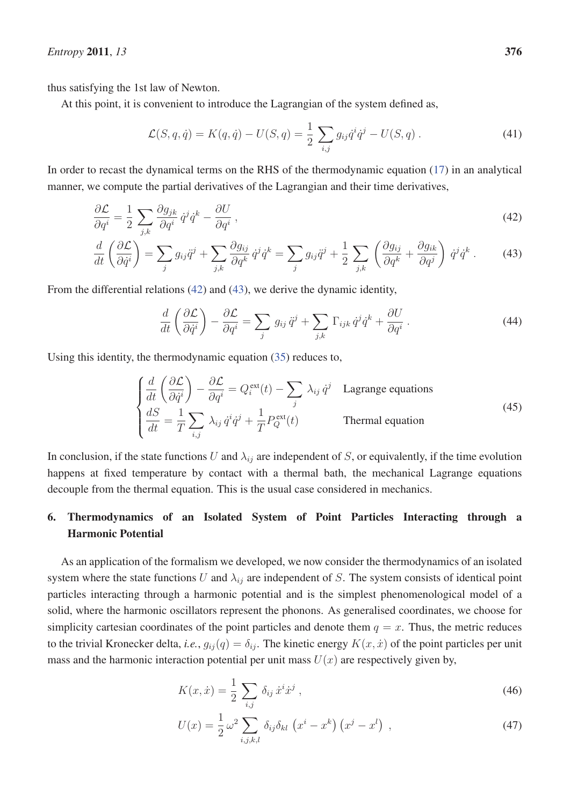thus satisfying the 1st law of Newton.

At this point, it is convenient to introduce the Lagrangian of the system defined as,

$$
\mathcal{L}(S, q, \dot{q}) = K(q, \dot{q}) - U(S, q) = \frac{1}{2} \sum_{i,j} g_{ij} \dot{q}^i \dot{q}^j - U(S, q) \,. \tag{41}
$$

In order to recast the dynamical terms on the RHS of the thermodynamic equation (17) in an analytical manner, we compute the partial derivatives of the Lagrangian and their time derivatives,

$$
\frac{\partial \mathcal{L}}{\partial q^i} = \frac{1}{2} \sum_{i,k} \frac{\partial g_{jk}}{\partial q^i} \dot{q}^j \dot{q}^k - \frac{\partial U}{\partial q^i} \,, \tag{42}
$$

$$
\frac{d}{dt}\left(\frac{\partial \mathcal{L}}{\partial \dot{q}^i}\right) = \sum_j g_{ij}\ddot{q}^j + \sum_{j,k} \frac{\partial g_{ij}}{\partial q^k} \dot{q}^j \dot{q}^k = \sum_j g_{ij}\ddot{q}^j + \frac{1}{2} \sum_{j,k} \left(\frac{\partial g_{ij}}{\partial q^k} + \frac{\partial g_{ik}}{\partial q^j}\right) \dot{q}^j \dot{q}^k.
$$
(43)

From the differential relations (42) and (43), we derive the dynamic identity,

$$
\frac{d}{dt}\left(\frac{\partial \mathcal{L}}{\partial \dot{q}^i}\right) - \frac{\partial \mathcal{L}}{\partial q^i} = \sum_j g_{ij}\,\ddot{q}^j + \sum_{j,k} \Gamma_{ijk}\,\dot{q}^j\dot{q}^k + \frac{\partial U}{\partial q^i} \,.
$$
\n(44)

Using this identity, the thermodynamic equation (35) reduces to,

$$
\begin{cases}\n\frac{d}{dt}\left(\frac{\partial \mathcal{L}}{\partial \dot{q}^i}\right) - \frac{\partial \mathcal{L}}{\partial q^i} = Q_i^{\text{ext}}(t) - \sum_j \lambda_{ij} \, \dot{q}^j \quad \text{Lagrange equations} \\
\frac{dS}{dt} = \frac{1}{T} \sum_{i,j} \lambda_{ij} \, \dot{q}^i \dot{q}^j + \frac{1}{T} P_Q^{\text{ext}}(t) \qquad \text{Thermal equation}\n\end{cases} \tag{45}
$$

In conclusion, if the state functions U and  $\lambda_{ij}$  are independent of S, or equivalently, if the time evolution happens at fixed temperature by contact with a thermal bath, the mechanical Lagrange equations decouple from the thermal equation. This is the usual case considered in mechanics.

# 6. Thermodynamics of an Isolated System of Point Particles Interacting through a Harmonic Potential

As an application of the formalism we developed, we now consider the thermodynamics of an isolated system where the state functions U and  $\lambda_{ij}$  are independent of S. The system consists of identical point particles interacting through a harmonic potential and is the simplest phenomenological model of a solid, where the harmonic oscillators represent the phonons. As generalised coordinates, we choose for simplicity cartesian coordinates of the point particles and denote them  $q = x$ . Thus, the metric reduces to the trivial Kronecker delta, *i.e.*,  $g_{ij}(q) = \delta_{ij}$ . The kinetic energy  $K(x, \dot{x})$  of the point particles per unit mass and the harmonic interaction potential per unit mass  $U(x)$  are respectively given by,

$$
K(x,\dot{x}) = \frac{1}{2} \sum_{i,j} \delta_{ij} \,\dot{x}^i \dot{x}^j \,, \tag{46}
$$

$$
U(x) = \frac{1}{2} \omega^2 \sum_{i,j,k,l} \delta_{ij} \delta_{kl} \left( x^i - x^k \right) \left( x^j - x^l \right) , \qquad (47)
$$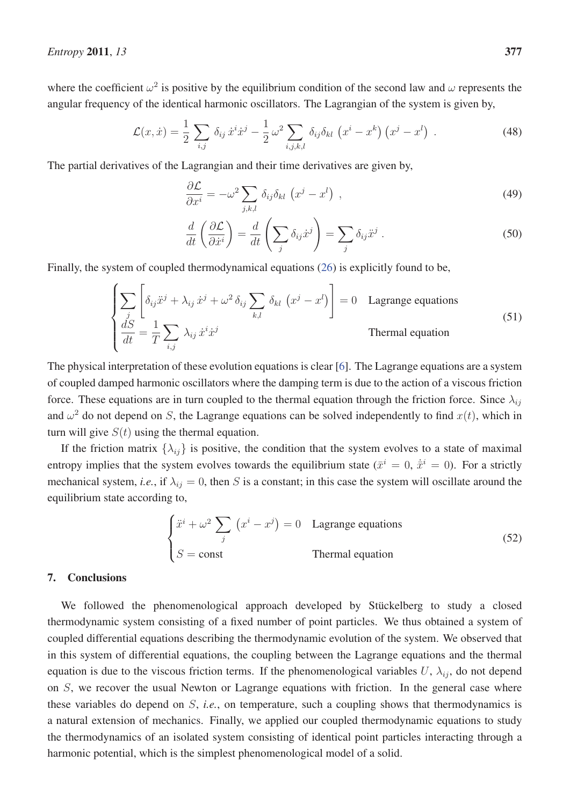where the coefficient  $\omega^2$  is positive by the equilibrium condition of the second law and  $\omega$  represents the angular frequency of the identical harmonic oscillators. The Lagrangian of the system is given by,

$$
\mathcal{L}(x,\dot{x}) = \frac{1}{2} \sum_{i,j} \delta_{ij} \dot{x}^i \dot{x}^j - \frac{1}{2} \omega^2 \sum_{i,j,k,l} \delta_{ij} \delta_{kl} \left( x^i - x^k \right) \left( x^j - x^l \right) . \tag{48}
$$

The partial derivatives of the Lagrangian and their time derivatives are given by,

$$
\frac{\partial \mathcal{L}}{\partial x^i} = -\omega^2 \sum_{j,k,l} \delta_{ij} \delta_{kl} \left( x^j - x^l \right) , \qquad (49)
$$

$$
\frac{d}{dt}\left(\frac{\partial \mathcal{L}}{\partial \dot{x}^i}\right) = \frac{d}{dt}\left(\sum_j \delta_{ij}\dot{x}^j\right) = \sum_j \delta_{ij}\ddot{x}^j.
$$
\n(50)

Finally, the system of coupled thermodynamical equations (26) is explicitly found to be,

$$
\left\{\sum_{\substack{j\\dS}}\left[\delta_{ij}\ddot{x}^j + \lambda_{ij}\dot{x}^j + \omega^2\delta_{ij}\sum_{k,l}\delta_{kl}\left(x^j - x^l\right)\right] = 0 \quad \text{Lagrange equations} \tag{51}
$$
\n
$$
\frac{dS}{dt} = \frac{1}{T}\sum_{i,j}\lambda_{ij}\dot{x}^i\dot{x}^j
$$

The physical interpretation of these evolution equations is clear [6]. The Lagrange equations are a system of coupled damped harmonic oscillators where the damping term is due to the action of a viscous friction force. These equations are in turn coupled to the thermal equation through the friction force. Since  $\lambda_{ij}$ and  $\omega^2$  do not depend on S, the Lagrange equations can be solved independently to find  $x(t)$ , which in turn will give  $S(t)$  using the thermal equation.

If the friction matrix  $\{\lambda_{ij}\}$  is positive, the condition that the system evolves to a state of maximal entropy implies that the system evolves towards the equilibrium state ( $\bar{x}^i = 0$ ,  $\dot{\bar{x}}^i = 0$ ). For a strictly mechanical system, *i.e.*, if  $\lambda_{ij} = 0$ , then S is a constant; in this case the system will oscillate around the equilibrium state according to,

$$
\begin{cases}\n\ddot{x}^{i} + \omega^{2} \sum_{j} (x^{i} - x^{j}) = 0 & \text{Lagrange equations} \\
S = \text{const} & \text{Thermal equation}\n\end{cases}
$$
\n(52)

# 7. Conclusions

We followed the phenomenological approach developed by Stückelberg to study a closed thermodynamic system consisting of a fixed number of point particles. We thus obtained a system of coupled differential equations describing the thermodynamic evolution of the system. We observed that in this system of differential equations, the coupling between the Lagrange equations and the thermal equation is due to the viscous friction terms. If the phenomenological variables  $U$ ,  $\lambda_{ij}$ , do not depend on S, we recover the usual Newton or Lagrange equations with friction. In the general case where these variables do depend on S, *i.e.*, on temperature, such a coupling shows that thermodynamics is a natural extension of mechanics. Finally, we applied our coupled thermodynamic equations to study the thermodynamics of an isolated system consisting of identical point particles interacting through a harmonic potential, which is the simplest phenomenological model of a solid.